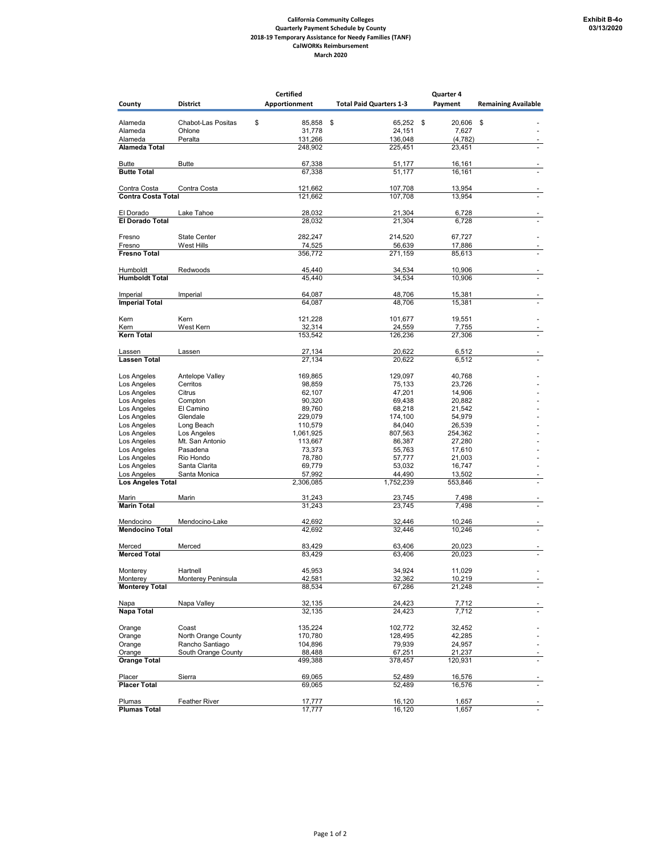## **California Community Colleges Quarterly Payment Schedule by County 2018-19 Temporary Assistance for Needy Families (TANF) CalWORKs Reimbursement March 2020**

|                                         |                                        | <b>Certified</b>    |                                | Quarter 4         |                            |
|-----------------------------------------|----------------------------------------|---------------------|--------------------------------|-------------------|----------------------------|
| County                                  | <b>District</b>                        | Apportionment       | <b>Total Paid Quarters 1-3</b> | Payment           | <b>Remaining Available</b> |
|                                         |                                        |                     |                                |                   |                            |
| Alameda                                 | Chabot-Las Positas                     | \$<br>85,858        | \$<br>65,252                   | \$<br>20,606      | \$                         |
| Alameda                                 | Ohlone                                 | 31,778              | 24,151                         | 7,627             |                            |
| Alameda                                 | Peralta                                | 131,266             | 136,048                        | (4, 782)          |                            |
| <b>Alameda Total</b>                    |                                        | 248,902             | 225,451                        | 23,451            |                            |
|                                         |                                        |                     |                                |                   |                            |
| <b>Butte</b><br><b>Butte Total</b>      | <b>Butte</b>                           | 67,338<br>67,338    | 51,177<br>51,177               | 16,161<br>16,161  |                            |
|                                         |                                        |                     |                                |                   |                            |
| Contra Costa                            | Contra Costa                           | 121,662             | 107,708                        | 13,954            |                            |
| Contra Costa Total                      |                                        | 121,662             | 107,708                        | 13,954            |                            |
|                                         |                                        |                     |                                |                   |                            |
| El Dorado                               | Lake Tahoe                             | 28,032              | 21,304                         | 6,728             |                            |
| <b>El Dorado Total</b>                  |                                        | 28,032              | 21,304                         | 6,728             |                            |
|                                         |                                        |                     |                                |                   |                            |
| Fresno<br>Fresno                        | <b>State Center</b>                    | 282,247<br>74,525   | 214,520                        | 67,727            |                            |
| <b>Fresno Total</b>                     | <b>West Hills</b>                      | 356,772             | 56,639<br>271,159              | 17,886<br>85,613  |                            |
|                                         |                                        |                     |                                |                   |                            |
| Humboldt                                | Redwoods                               | 45,440              | 34,534                         | 10,906            |                            |
| <b>Humboldt Total</b>                   |                                        | 45,440              | 34,534                         | 10,906            |                            |
|                                         |                                        |                     |                                |                   |                            |
| Imperial                                | Imperial                               | 64,087              | 48,706                         | 15,381            |                            |
| <b>Imperial Total</b>                   |                                        | 64,087              | 48,706                         | 15,381            |                            |
|                                         |                                        |                     |                                |                   |                            |
| Kern<br>Kern                            | Kern<br>West Kern                      | 121,228<br>32,314   | 101,677<br>24,559              | 19,551<br>7,755   |                            |
| <b>Kern Total</b>                       |                                        | 153,542             | 126,236                        | 27,306            |                            |
|                                         |                                        |                     |                                |                   |                            |
| Lassen                                  | Lassen                                 | 27,134              | 20,622                         | 6,512             |                            |
| <b>Lassen Total</b>                     |                                        | 27,134              | 20,622                         | 6,512             |                            |
|                                         |                                        |                     |                                |                   |                            |
| Los Angeles                             | Antelope Valley                        | 169,865             | 129,097                        | 40,768            |                            |
| Los Angeles                             | Cerritos                               | 98.859              | 75,133                         | 23,726            |                            |
| Los Angeles                             | Citrus                                 | 62,107              | 47,201                         | 14,906            |                            |
| Los Angeles                             | Compton                                | 90,320              | 69,438                         | 20,882            |                            |
| Los Angeles                             | El Camino                              | 89,760              | 68,218                         | 21,542            |                            |
| Los Angeles                             | Glendale                               | 229,079             | 174,100                        | 54,979            |                            |
| Los Angeles                             | Long Beach                             | 110,579             | 84,040                         | 26,539            |                            |
| Los Angeles                             | Los Angeles                            | 1,061,925           | 807,563                        | 254,362           |                            |
| Los Angeles                             | Mt. San Antonio                        | 113,667             | 86,387                         | 27,280            |                            |
| Los Angeles                             | Pasadena                               | 73,373              | 55,763                         | 17,610            |                            |
| Los Angeles                             | Rio Hondo                              | 78,780              | 57,777                         | 21,003            |                            |
| Los Angeles                             | Santa Clarita                          | 69,779              | 53,032                         | 16,747            |                            |
| Los Angeles<br><b>Los Angeles Total</b> | Santa Monica                           | 57,992<br>2,306,085 | 44,490<br>1,752,239            | 13,502<br>553,846 |                            |
|                                         |                                        |                     |                                |                   |                            |
| Marin                                   | Marin                                  | 31,243              | 23,745                         | 7,498             |                            |
| <b>Marin Total</b>                      |                                        | 31,243              | 23,745                         | 7,498             |                            |
|                                         |                                        |                     |                                |                   |                            |
| Mendocino                               | Mendocino-Lake                         | 42,692              | 32,446                         | 10,246            |                            |
| <b>Mendocino Total</b>                  |                                        | 42,692              | 32,446                         | 10,246            |                            |
| Merced                                  | Merced                                 | 83,429              | 63,406                         | 20,023            |                            |
| <b>Merced Total</b>                     |                                        | 83,429              | 63.406                         | 20.023            |                            |
|                                         |                                        |                     |                                |                   |                            |
| Monterey                                | Hartnell                               | 45,953              | 34,924                         | 11.029            |                            |
| Monterey                                | Monterey Peninsula                     | 42,581              | 32,362                         | 10,219            |                            |
| <b>Monterey Total</b>                   |                                        | 88,534              | 67,286                         | 21,248            |                            |
|                                         |                                        |                     |                                |                   |                            |
| Napa                                    | Napa Valley                            | 32,135              | 24,423                         | 7,712             |                            |
| Napa Total                              |                                        | 32,135              | 24,423                         | 7,712             |                            |
|                                         |                                        |                     |                                |                   |                            |
| Orange                                  | Coast                                  | 135,224             | 102,772                        | 32,452            |                            |
| Orange                                  | North Orange County<br>Rancho Santiago | 170,780             | 128,495                        | 42,285            |                            |
| Orange<br>Orange                        | South Orange County                    | 104,896<br>88,488   | 79,939<br>67,251               | 24,957<br>21,237  |                            |
| <b>Orange Total</b>                     |                                        | 499,388             | 378,457                        | 120,931           |                            |
|                                         |                                        |                     |                                |                   |                            |
| Placer                                  | Sierra                                 | 69,065              | 52,489                         | 16,576            |                            |
| <b>Placer Total</b>                     |                                        | 69,065              | 52,489                         | 16,576            |                            |
|                                         |                                        |                     |                                |                   |                            |
| Plumas                                  | Feather River                          | 17,777              | 16,120                         | 1,657             |                            |
| <b>Plumas Total</b>                     |                                        | 17,777              | 16,120                         | 1,657             |                            |